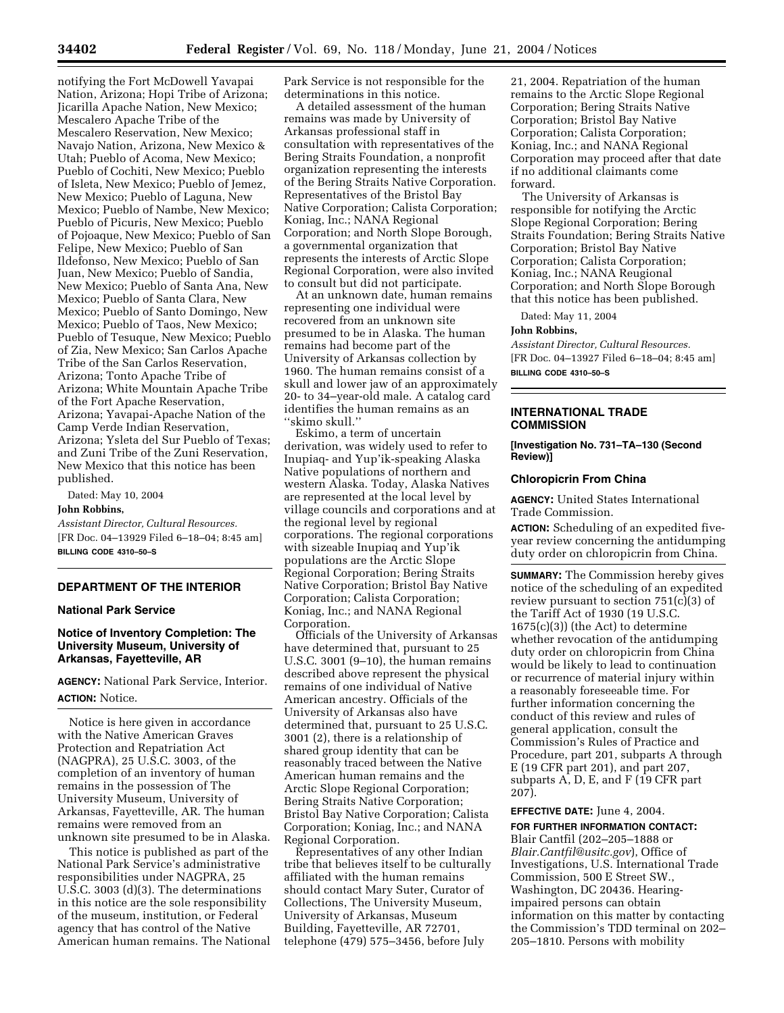notifying the Fort McDowell Yavapai Nation, Arizona; Hopi Tribe of Arizona; Jicarilla Apache Nation, New Mexico; Mescalero Apache Tribe of the Mescalero Reservation, New Mexico; Navajo Nation, Arizona, New Mexico & Utah; Pueblo of Acoma, New Mexico; Pueblo of Cochiti, New Mexico; Pueblo of Isleta, New Mexico; Pueblo of Jemez, New Mexico; Pueblo of Laguna, New Mexico; Pueblo of Nambe, New Mexico; Pueblo of Picuris, New Mexico; Pueblo of Pojoaque, New Mexico; Pueblo of San Felipe, New Mexico; Pueblo of San Ildefonso, New Mexico; Pueblo of San Juan, New Mexico; Pueblo of Sandia, New Mexico; Pueblo of Santa Ana, New Mexico; Pueblo of Santa Clara, New Mexico; Pueblo of Santo Domingo, New Mexico; Pueblo of Taos, New Mexico; Pueblo of Tesuque, New Mexico; Pueblo of Zia, New Mexico; San Carlos Apache Tribe of the San Carlos Reservation, Arizona; Tonto Apache Tribe of Arizona; White Mountain Apache Tribe of the Fort Apache Reservation, Arizona; Yavapai-Apache Nation of the Camp Verde Indian Reservation, Arizona; Ysleta del Sur Pueblo of Texas; and Zuni Tribe of the Zuni Reservation, New Mexico that this notice has been published.

Dated: May 10, 2004 **John Robbins,**

*Assistant Director, Cultural Resources.* [FR Doc. 04–13929 Filed 6–18–04; 8:45 am] **BILLING CODE 4310–50–S**

#### **DEPARTMENT OF THE INTERIOR**

## **National Park Service**

## **Notice of Inventory Completion: The University Museum, University of Arkansas, Fayetteville, AR**

**AGENCY:** National Park Service, Interior. **ACTION:** Notice.

Notice is here given in accordance with the Native American Graves Protection and Repatriation Act (NAGPRA), 25 U.S.C. 3003, of the completion of an inventory of human remains in the possession of The University Museum, University of Arkansas, Fayetteville, AR. The human remains were removed from an unknown site presumed to be in Alaska.

This notice is published as part of the National Park Service's administrative responsibilities under NAGPRA, 25 U.S.C. 3003 (d)(3). The determinations in this notice are the sole responsibility of the museum, institution, or Federal agency that has control of the Native American human remains. The National Park Service is not responsible for the determinations in this notice.

A detailed assessment of the human remains was made by University of Arkansas professional staff in consultation with representatives of the Bering Straits Foundation, a nonprofit organization representing the interests of the Bering Straits Native Corporation. Representatives of the Bristol Bay Native Corporation; Calista Corporation; Koniag, Inc.; NANA Regional Corporation; and North Slope Borough, a governmental organization that represents the interests of Arctic Slope Regional Corporation, were also invited to consult but did not participate.

At an unknown date, human remains representing one individual were recovered from an unknown site presumed to be in Alaska. The human remains had become part of the University of Arkansas collection by 1960. The human remains consist of a skull and lower jaw of an approximately 20- to 34–year-old male. A catalog card identifies the human remains as an ''skimo skull.''

Eskimo, a term of uncertain derivation, was widely used to refer to Inupiaq- and Yup'ik-speaking Alaska Native populations of northern and western Alaska. Today, Alaska Natives are represented at the local level by village councils and corporations and at the regional level by regional corporations. The regional corporations with sizeable Inupiaq and Yup'ik populations are the Arctic Slope Regional Corporation; Bering Straits Native Corporation; Bristol Bay Native Corporation; Calista Corporation; Koniag, Inc.; and NANA Regional Corporation.

Officials of the University of Arkansas have determined that, pursuant to 25 U.S.C. 3001 (9–10), the human remains described above represent the physical remains of one individual of Native American ancestry. Officials of the University of Arkansas also have determined that, pursuant to 25 U.S.C. 3001 (2), there is a relationship of shared group identity that can be reasonably traced between the Native American human remains and the Arctic Slope Regional Corporation; Bering Straits Native Corporation; Bristol Bay Native Corporation; Calista Corporation; Koniag, Inc.; and NANA Regional Corporation.

Representatives of any other Indian tribe that believes itself to be culturally affiliated with the human remains should contact Mary Suter, Curator of Collections, The University Museum, University of Arkansas, Museum Building, Fayetteville, AR 72701, telephone (479) 575–3456, before July

21, 2004. Repatriation of the human remains to the Arctic Slope Regional Corporation; Bering Straits Native Corporation; Bristol Bay Native Corporation; Calista Corporation; Koniag, Inc.; and NANA Regional Corporation may proceed after that date if no additional claimants come forward.

The University of Arkansas is responsible for notifying the Arctic Slope Regional Corporation; Bering Straits Foundation; Bering Straits Native Corporation; Bristol Bay Native Corporation; Calista Corporation; Koniag, Inc.; NANA Reugional Corporation; and North Slope Borough that this notice has been published.

Dated: May 11, 2004

#### **John Robbins,**

*Assistant Director, Cultural Resources.* [FR Doc. 04–13927 Filed 6–18–04; 8:45 am] **BILLING CODE 4310–50–S**

#### **INTERNATIONAL TRADE COMMISSION**

**[Investigation No. 731–TA–130 (Second Review)]** 

#### **Chloropicrin From China**

**AGENCY:** United States International Trade Commission.

**ACTION:** Scheduling of an expedited fiveyear review concerning the antidumping duty order on chloropicrin from China.

**SUMMARY:** The Commission hereby gives notice of the scheduling of an expedited review pursuant to section 751(c)(3) of the Tariff Act of 1930 (19 U.S.C. 1675(c)(3)) (the Act) to determine whether revocation of the antidumping duty order on chloropicrin from China would be likely to lead to continuation or recurrence of material injury within a reasonably foreseeable time. For further information concerning the conduct of this review and rules of general application, consult the Commission's Rules of Practice and Procedure, part 201, subparts A through E (19 CFR part 201), and part 207, subparts A, D, E, and F (19 CFR part 207).

#### **EFFECTIVE DATE:** June 4, 2004.

#### **FOR FURTHER INFORMATION CONTACT:**

Blair Cantfil (202–205–1888 or *Blair.Cantfil@usitc.gov*), Office of Investigations, U.S. International Trade Commission, 500 E Street SW., Washington, DC 20436. Hearingimpaired persons can obtain information on this matter by contacting the Commission's TDD terminal on 202– 205–1810. Persons with mobility